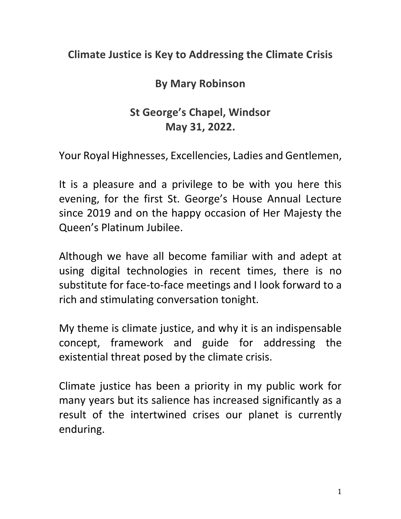## **Climate Justice is Key to Addressing the Climate Crisis**

## **By Mary Robinson**

## **St George's Chapel, Windsor May 31, 2022.**

Your Royal Highnesses, Excellencies, Ladies and Gentlemen,

It is a pleasure and a privilege to be with you here this evening, for the first St. George's House Annual Lecture since 2019 and on the happy occasion of Her Majesty the Queen's Platinum Jubilee.

Although we have all become familiar with and adept at using digital technologies in recent times, there is no substitute for face-to-face meetings and I look forward to a rich and stimulating conversation tonight.

My theme is climate justice, and why it is an indispensable concept, framework and guide for addressing the existential threat posed by the climate crisis.

Climate justice has been a priority in my public work for many years but its salience has increased significantly as a result of the intertwined crises our planet is currently enduring.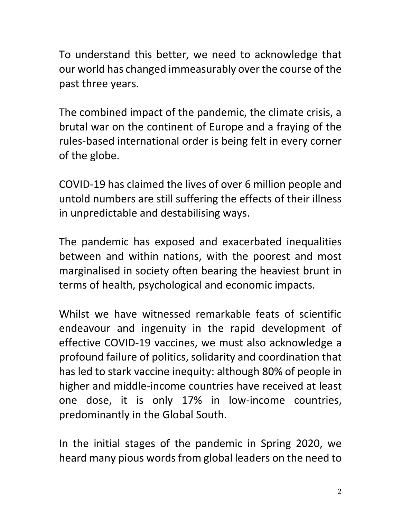To understand this better, we need to acknowledge that our world has changed immeasurably over the course of the past three years.

The combined impact of the pandemic, the climate crisis, a brutal war on the continent of Europe and a fraying of the rules-based international order is being felt in every corner of the globe.

COVID-19 has claimed the lives of over 6 million people and untold numbers are still suffering the effects of their illness in unpredictable and destabilising ways.

The pandemic has exposed and exacerbated inequalities between and within nations, with the poorest and most marginalised in society often bearing the heaviest brunt in terms of health, psychological and economic impacts.

Whilst we have witnessed remarkable feats of scientific endeavour and ingenuity in the rapid development of effective COVID-19 vaccines, we must also acknowledge a profound failure of politics, solidarity and coordination that has led to stark vaccine inequity: although 80% of people in higher and middle-income countries have received at least one dose, it is only 17% in low-income countries, predominantly in the Global South.

In the initial stages of the pandemic in Spring 2020, we heard many pious words from global leaders on the need to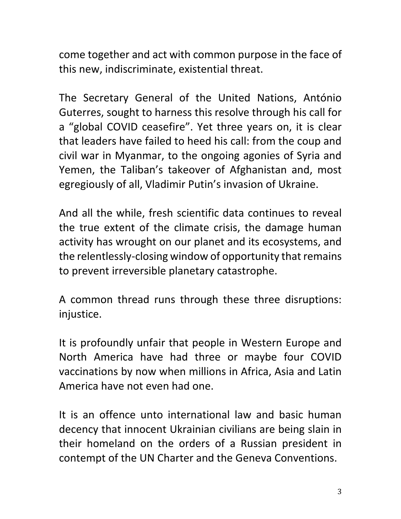come together and act with common purpose in the face of this new, indiscriminate, existential threat.

The Secretary General of the United Nations, António Guterres, sought to harness this resolve through his call for a "global COVID ceasefire". Yet three years on, it is clear that leaders have failed to heed his call: from the coup and civil war in Myanmar, to the ongoing agonies of Syria and Yemen, the Taliban's takeover of Afghanistan and, most egregiously of all, Vladimir Putin's invasion of Ukraine.

And all the while, fresh scientific data continues to reveal the true extent of the climate crisis, the damage human activity has wrought on our planet and its ecosystems, and the relentlessly-closing window of opportunity that remains to prevent irreversible planetary catastrophe.

A common thread runs through these three disruptions: injustice.

It is profoundly unfair that people in Western Europe and North America have had three or maybe four COVID vaccinations by now when millions in Africa, Asia and Latin America have not even had one.

It is an offence unto international law and basic human decency that innocent Ukrainian civilians are being slain in their homeland on the orders of a Russian president in contempt of the UN Charter and the Geneva Conventions.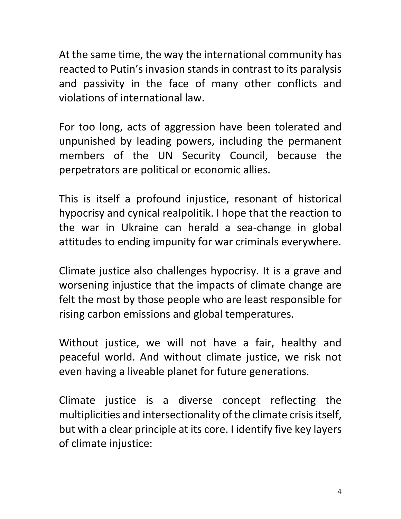At the same time, the way the international community has reacted to Putin's invasion stands in contrast to its paralysis and passivity in the face of many other conflicts and violations of international law.

For too long, acts of aggression have been tolerated and unpunished by leading powers, including the permanent members of the UN Security Council, because the perpetrators are political or economic allies.

This is itself a profound injustice, resonant of historical hypocrisy and cynical realpolitik. I hope that the reaction to the war in Ukraine can herald a sea-change in global attitudes to ending impunity for war criminals everywhere.

Climate justice also challenges hypocrisy. It is a grave and worsening injustice that the impacts of climate change are felt the most by those people who are least responsible for rising carbon emissions and global temperatures.

Without justice, we will not have a fair, healthy and peaceful world. And without climate justice, we risk not even having a liveable planet for future generations.

Climate justice is a diverse concept reflecting the multiplicities and intersectionality of the climate crisis itself, but with a clear principle at its core. I identify five key layers of climate injustice: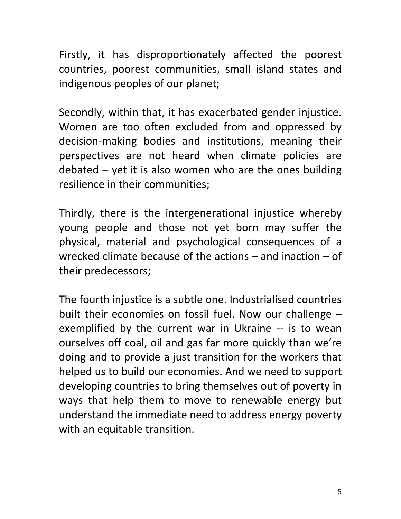Firstly, it has disproportionately affected the poorest countries, poorest communities, small island states and indigenous peoples of our planet;

Secondly, within that, it has exacerbated gender injustice. Women are too often excluded from and oppressed by decision-making bodies and institutions, meaning their perspectives are not heard when climate policies are debated  $-$  yet it is also women who are the ones building resilience in their communities;

Thirdly, there is the intergenerational injustice whereby young people and those not yet born may suffer the physical, material and psychological consequences of a wrecked climate because of the actions – and inaction – of their predecessors;

The fourth injustice is a subtle one. Industrialised countries built their economies on fossil fuel. Now our challenge – exemplified by the current war in Ukraine -- is to wean ourselves off coal, oil and gas far more quickly than we're doing and to provide a just transition for the workers that helped us to build our economies. And we need to support developing countries to bring themselves out of poverty in ways that help them to move to renewable energy but understand the immediate need to address energy poverty with an equitable transition.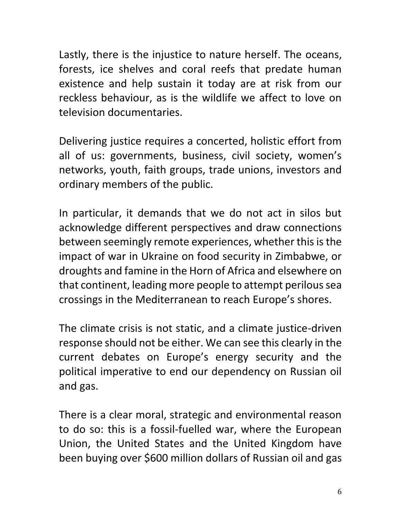Lastly, there is the injustice to nature herself. The oceans, forests, ice shelves and coral reefs that predate human existence and help sustain it today are at risk from our reckless behaviour, as is the wildlife we affect to love on television documentaries.

Delivering justice requires a concerted, holistic effort from all of us: governments, business, civil society, women's networks, youth, faith groups, trade unions, investors and ordinary members of the public.

In particular, it demands that we do not act in silos but acknowledge different perspectives and draw connections between seemingly remote experiences, whether this is the impact of war in Ukraine on food security in Zimbabwe, or droughts and famine in the Horn of Africa and elsewhere on that continent, leading more people to attempt perilous sea crossings in the Mediterranean to reach Europe's shores.

The climate crisis is not static, and a climate justice-driven response should not be either. We can see this clearly in the current debates on Europe's energy security and the political imperative to end our dependency on Russian oil and gas.

There is a clear moral, strategic and environmental reason to do so: this is a fossil-fuelled war, where the European Union, the United States and the United Kingdom have been buying over \$600 million dollars of Russian oil and gas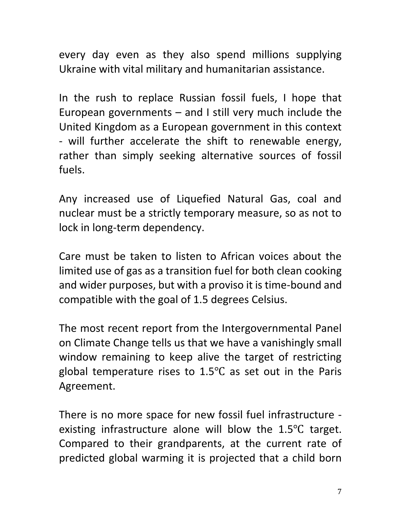every day even as they also spend millions supplying Ukraine with vital military and humanitarian assistance.

In the rush to replace Russian fossil fuels, I hope that European governments – and I still very much include the United Kingdom as a European government in this context - will further accelerate the shift to renewable energy, rather than simply seeking alternative sources of fossil fuels.

Any increased use of Liquefied Natural Gas, coal and nuclear must be a strictly temporary measure, so as not to lock in long-term dependency.

Care must be taken to listen to African voices about the limited use of gas as a transition fuel for both clean cooking and wider purposes, but with a proviso it is time-bound and compatible with the goal of 1.5 degrees Celsius.

The most recent report from the Intergovernmental Panel on Climate Change tells us that we have a vanishingly small window remaining to keep alive the target of restricting global temperature rises to  $1.5^{\circ}$ C as set out in the Paris Agreement.

There is no more space for new fossil fuel infrastructure existing infrastructure alone will blow the 1.5℃ target. Compared to their grandparents, at the current rate of predicted global warming it is projected that a child born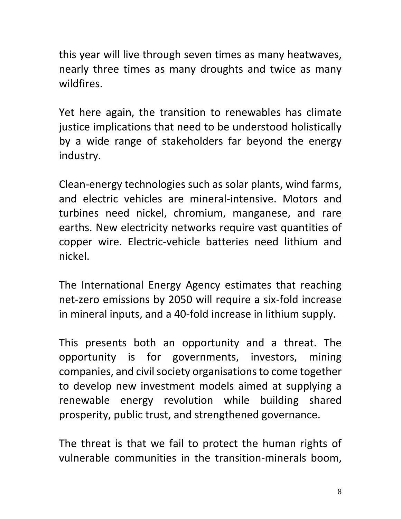this year will live through seven times as many heatwaves, nearly three times as many droughts and twice as many wildfires.

Yet here again, the transition to renewables has climate justice implications that need to be understood holistically by a wide range of stakeholders far beyond the energy industry.

Clean-energy technologies such as solar plants, wind farms, and electric vehicles are mineral-intensive. Motors and turbines need nickel, chromium, manganese, and rare earths. New electricity networks require vast quantities of copper wire. Electric-vehicle batteries need lithium and nickel.

The International Energy Agency estimates that reaching net-zero emissions by 2050 will require a six-fold increase in mineral inputs, and a 40-fold increase in lithium supply.

This presents both an opportunity and a threat. The opportunity is for governments, investors, mining companies, and civil society organisations to come together to develop new investment models aimed at supplying a renewable energy revolution while building shared prosperity, public trust, and strengthened governance.

The threat is that we fail to protect the human rights of vulnerable communities in the transition-minerals boom,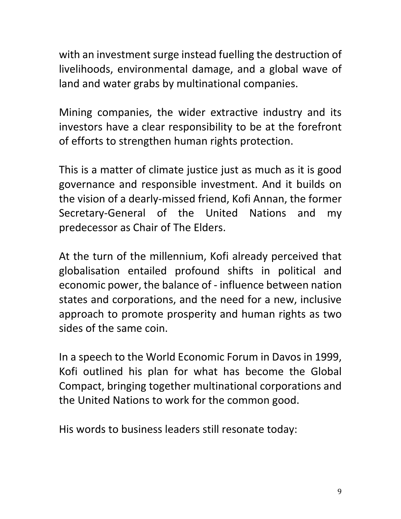with an investment surge instead fuelling the destruction of livelihoods, environmental damage, and a global wave of land and water grabs by multinational companies.

Mining companies, the wider extractive industry and its investors have a clear responsibility to be at the forefront of efforts to strengthen human rights protection.

This is a matter of climate justice just as much as it is good governance and responsible investment. And it builds on the vision of a dearly-missed friend, Kofi Annan, the former Secretary-General of the United Nations and my predecessor as Chair of The Elders.

At the turn of the millennium, Kofi already perceived that globalisation entailed profound shifts in political and economic power, the balance of - influence between nation states and corporations, and the need for a new, inclusive approach to promote prosperity and human rights as two sides of the same coin.

In a speech to the World Economic Forum in Davos in 1999, Kofi outlined his plan for what has become the Global Compact, bringing together multinational corporations and the United Nations to work for the common good.

His words to business leaders still resonate today: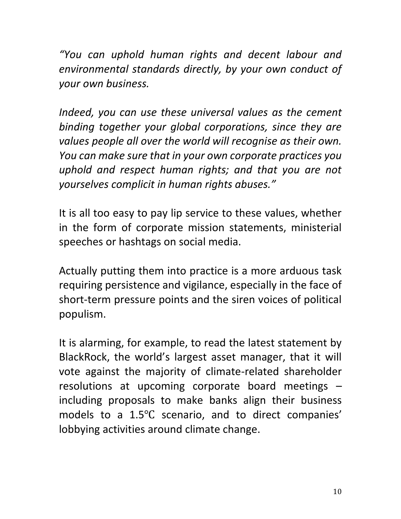*"You can uphold human rights and decent labour and environmental standards directly, by your own conduct of your own business.*

*Indeed, you can use these universal values as the cement binding together your global corporations, since they are values people all over the world will recognise as their own. You can make sure that in your own corporate practices you uphold and respect human rights; and that you are not yourselves complicit in human rights abuses."*

It is all too easy to pay lip service to these values, whether in the form of corporate mission statements, ministerial speeches or hashtags on social media.

Actually putting them into practice is a more arduous task requiring persistence and vigilance, especially in the face of short-term pressure points and the siren voices of political populism.

It is alarming, for example, to read the latest statement by BlackRock, the world's largest asset manager, that it will vote against the majority of climate-related shareholder resolutions at upcoming corporate board meetings – including proposals to make banks align their business models to a 1.5℃ scenario, and to direct companies' lobbying activities around climate change.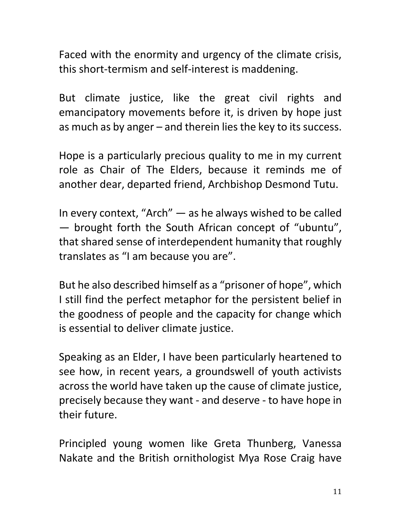Faced with the enormity and urgency of the climate crisis, this short-termism and self-interest is maddening.

But climate justice, like the great civil rights and emancipatory movements before it, is driven by hope just as much as by anger – and therein lies the key to its success.

Hope is a particularly precious quality to me in my current role as Chair of The Elders, because it reminds me of another dear, departed friend, Archbishop Desmond Tutu.

In every context, "Arch" — as he always wished to be called — brought forth the South African concept of "ubuntu", that shared sense of interdependent humanity that roughly translates as "I am because you are".

But he also described himself as a "prisoner of hope", which I still find the perfect metaphor for the persistent belief in the goodness of people and the capacity for change which is essential to deliver climate justice.

Speaking as an Elder, I have been particularly heartened to see how, in recent years, a groundswell of youth activists across the world have taken up the cause of climate justice, precisely because they want - and deserve - to have hope in their future.

Principled young women like Greta Thunberg, Vanessa Nakate and the British ornithologist Mya Rose Craig have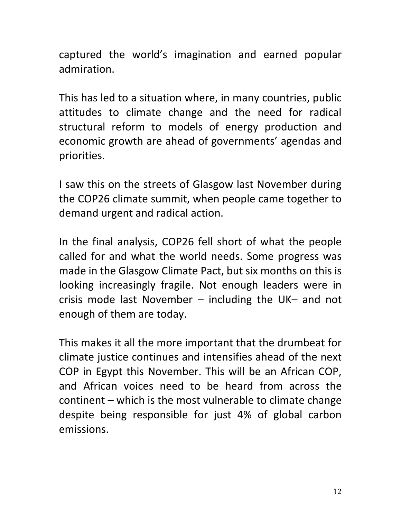captured the world's imagination and earned popular admiration.

This has led to a situation where, in many countries, public attitudes to climate change and the need for radical structural reform to models of energy production and economic growth are ahead of governments' agendas and priorities.

I saw this on the streets of Glasgow last November during the COP26 climate summit, when people came together to demand urgent and radical action.

In the final analysis, COP26 fell short of what the people called for and what the world needs. Some progress was made in the Glasgow Climate Pact, but six months on this is looking increasingly fragile. Not enough leaders were in crisis mode last November – including the UK– and not enough of them are today.

This makes it all the more important that the drumbeat for climate justice continues and intensifies ahead of the next COP in Egypt this November. This will be an African COP, and African voices need to be heard from across the continent – which is the most vulnerable to climate change despite being responsible for just 4% of global carbon emissions.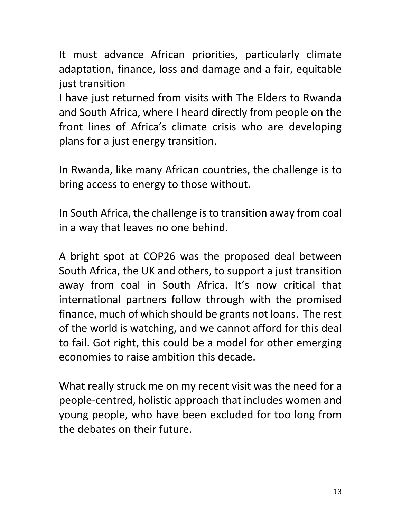It must advance African priorities, particularly climate adaptation, finance, loss and damage and a fair, equitable just transition

I have just returned from visits with The Elders to Rwanda and South Africa, where I heard directly from people on the front lines of Africa's climate crisis who are developing plans for a just energy transition.

In Rwanda, like many African countries, the challenge is to bring access to energy to those without.

In South Africa, the challenge is to transition away from coal in a way that leaves no one behind.

A bright spot at COP26 was the proposed deal between South Africa, the UK and others, to support a just transition away from coal in South Africa. It's now critical that international partners follow through with the promised finance, much of which should be grants not loans. The rest of the world is watching, and we cannot afford for this deal to fail. Got right, this could be a model for other emerging economies to raise ambition this decade.

What really struck me on my recent visit was the need for a people-centred, holistic approach that includes women and young people, who have been excluded for too long from the debates on their future.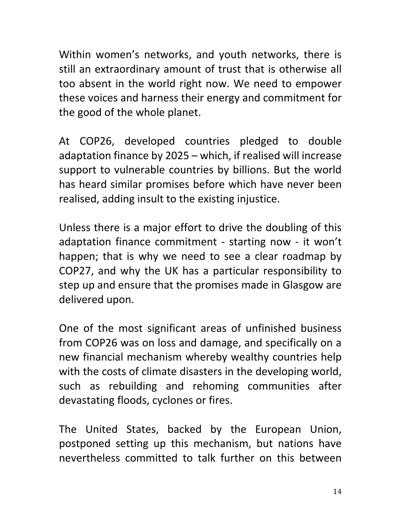Within women's networks, and youth networks, there is still an extraordinary amount of trust that is otherwise all too absent in the world right now. We need to empower these voices and harness their energy and commitment for the good of the whole planet.

At COP26, developed countries pledged to double adaptation finance by 2025 – which, if realised will increase support to vulnerable countries by billions. But the world has heard similar promises before which have never been realised, adding insult to the existing injustice.

Unless there is a major effort to drive the doubling of this adaptation finance commitment - starting now - it won't happen; that is why we need to see a clear roadmap by COP27, and why the UK has a particular responsibility to step up and ensure that the promises made in Glasgow are delivered upon.

One of the most significant areas of unfinished business from COP26 was on loss and damage, and specifically on a new financial mechanism whereby wealthy countries help with the costs of climate disasters in the developing world, such as rebuilding and rehoming communities after devastating floods, cyclones or fires.

The United States, backed by the European Union, postponed setting up this mechanism, but nations have nevertheless committed to talk further on this between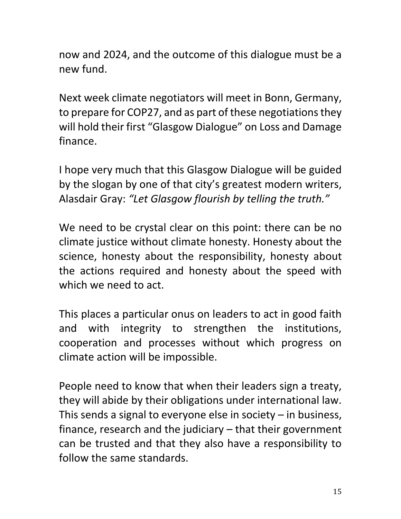now and 2024, and the outcome of this dialogue must be a new fund.

Next week climate negotiators will meet in Bonn, Germany, to prepare for COP27, and as part of these negotiations they will hold their first "Glasgow Dialogue" on Loss and Damage finance.

I hope very much that this Glasgow Dialogue will be guided by the slogan by one of that city's greatest modern writers, Alasdair Gray: *"Let Glasgow flourish by telling the truth."*

We need to be crystal clear on this point: there can be no climate justice without climate honesty. Honesty about the science, honesty about the responsibility, honesty about the actions required and honesty about the speed with which we need to act.

This places a particular onus on leaders to act in good faith and with integrity to strengthen the institutions, cooperation and processes without which progress on climate action will be impossible.

People need to know that when their leaders sign a treaty, they will abide by their obligations under international law. This sends a signal to everyone else in society  $-$  in business, finance, research and the judiciary – that their government can be trusted and that they also have a responsibility to follow the same standards.